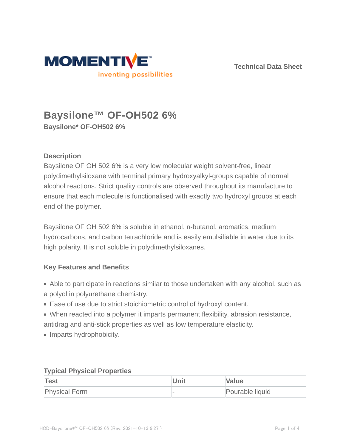

**Technical Data Sheet**

# **Baysilone™ OF-OH502 6% Baysilone\* OF-OH502 6%**

# **Description**

Baysilone OF OH 502 6% is a very low molecular weight solvent-free, linear polydimethylsiloxane with terminal primary hydroxyalkyl-groups capable of normal alcohol reactions. Strict quality controls are observed throughout its manufacture to ensure that each molecule is functionalised with exactly two hydroxyl groups at each end of the polymer.

Baysilone OF OH 502 6% is soluble in ethanol, n-butanol, aromatics, medium hydrocarbons, and carbon tetrachloride and is easily emulsifiable in water due to its high polarity. It is not soluble in polydimethylsiloxanes.

### **Key Features and Benefits**

- Able to participate in reactions similar to those undertaken with any alcohol, such as a polyol in polyurethane chemistry.
- Ease of use due to strict stoichiometric control of hydroxyl content.
- When reacted into a polymer it imparts permanent flexibility, abrasion resistance, antidrag and anti-stick properties as well as low temperature elasticity.
- Imparts hydrophobicity.

| Test                 | Unit | <b>Value</b>    |  |  |
|----------------------|------|-----------------|--|--|
| <b>Physical Form</b> |      | Pourable liquid |  |  |

### **Typical Physical Properties**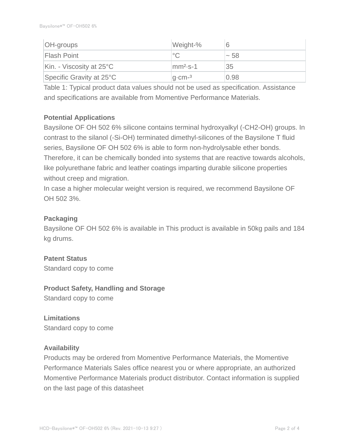| <b>OH-groups</b>                   | Weight-%     |      |
|------------------------------------|--------------|------|
| <b>Flash Point</b>                 |              | ~58  |
| Kin. - Viscosity at $25^{\circ}$ C | $mm2$ -S-1   | 35   |
| Specific Gravity at $25^{\circ}$ C | $q$ -cm- $3$ | 0.98 |

Table 1: Typical product data values should not be used as specification. Assistance and specifications are available from Momentive Performance Materials.

# **Potential Applications**

Baysilone OF OH 502 6% silicone contains terminal hydroxyalkyl (-CH2-OH) groups. In contrast to the silanol (-Si-OH) terminated dimethyl-silicones of the Baysilone T fluid series, Baysilone OF OH 502 6% is able to form non-hydrolysable ether bonds. Therefore, it can be chemically bonded into systems that are reactive towards alcohols, like polyurethane fabric and leather coatings imparting durable silicone properties without creep and migration.

In case a higher molecular weight version is required, we recommend Baysilone OF OH 502 3%.

# **Packaging**

Baysilone OF OH 502 6% is available in This product is available in 50kg pails and 184 kg drums.

# **Patent Status**

Standard copy to come

# **Product Safety, Handling and Storage**

Standard copy to come

# **Limitations**

Standard copy to come

### **Availability**

Products may be ordered from Momentive Performance Materials, the Momentive Performance Materials Sales office nearest you or where appropriate, an authorized Momentive Performance Materials product distributor. Contact information is supplied on the last page of this datasheet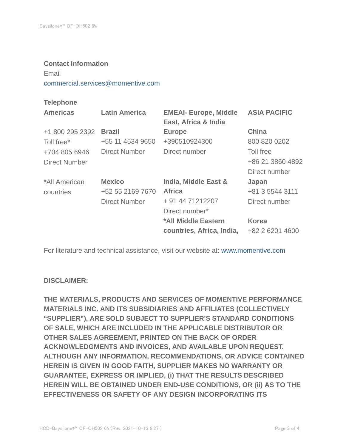#### **Contact Information**

Email

commercial.services@momentive.com

#### **Telephone**

| <b>Latin America</b> | <b>EMEAI- Europe, Middle</b><br>East, Africa & India | <b>ASIA PACIFIC</b> |
|----------------------|------------------------------------------------------|---------------------|
| <b>Brazil</b>        | <b>Europe</b>                                        | <b>China</b>        |
| +55 11 4534 9650     | +390510924300                                        | 800 820 0202        |
| Direct Number        | Direct number                                        | Toll free           |
|                      |                                                      | +86 21 3860 4892    |
|                      |                                                      | Direct number       |
| <b>Mexico</b>        | India, Middle East &                                 | Japan               |
| +52 55 2169 7670     | <b>Africa</b>                                        | +81 3 5544 3111     |
| <b>Direct Number</b> | + 91 44 71212207                                     | Direct number       |
|                      | Direct number*                                       |                     |
|                      | *All Middle Eastern                                  | <b>Korea</b>        |
|                      | countries, Africa, India,                            | +82 2 6201 4600     |
|                      |                                                      |                     |

For literature and technical assistance, visit our website at: www.momentive.com

### **DISCLAIMER:**

**THE MATERIALS, PRODUCTS AND SERVICES OF MOMENTIVE PERFORMANCE MATERIALS INC. AND ITS SUBSIDIARIES AND AFFILIATES (COLLECTIVELY "SUPPLIER"), ARE SOLD SUBJECT TO SUPPLIER'S STANDARD CONDITIONS OF SALE, WHICH ARE INCLUDED IN THE APPLICABLE DISTRIBUTOR OR OTHER SALES AGREEMENT, PRINTED ON THE BACK OF ORDER ACKNOWLEDGMENTS AND INVOICES, AND AVAILABLE UPON REQUEST. ALTHOUGH ANY INFORMATION, RECOMMENDATIONS, OR ADVICE CONTAINED HEREIN IS GIVEN IN GOOD FAITH, SUPPLIER MAKES NO WARRANTY OR GUARANTEE, EXPRESS OR IMPLIED, (i) THAT THE RESULTS DESCRIBED HEREIN WILL BE OBTAINED UNDER END-USE CONDITIONS, OR (ii) AS TO THE EFFECTIVENESS OR SAFETY OF ANY DESIGN INCORPORATING ITS**